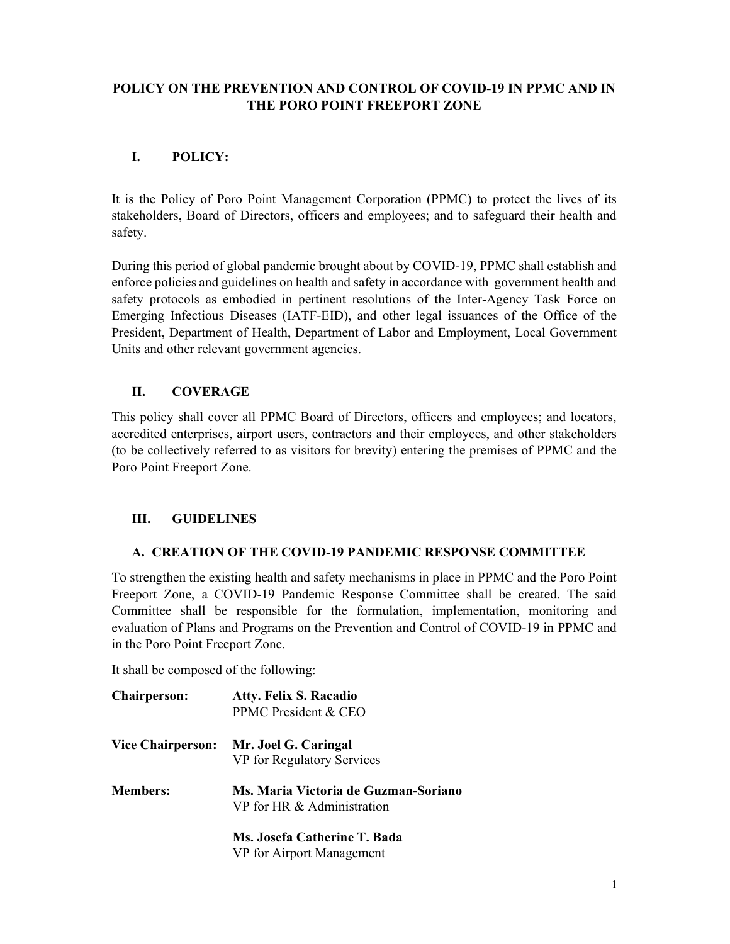## POLICY ON THE PREVENTION AND CONTROL OF COVID-19 IN PPMC AND IN THE PORO POINT FREEPORT ZONE

# I. POLICY:

It is the Policy of Poro Point Management Corporation (PPMC) to protect the lives of its stakeholders, Board of Directors, officers and employees; and to safeguard their health and safety.

During this period of global pandemic brought about by COVID-19, PPMC shall establish and enforce policies and guidelines on health and safety in accordance with government health and safety protocols as embodied in pertinent resolutions of the Inter-Agency Task Force on Emerging Infectious Diseases (IATF-EID), and other legal issuances of the Office of the President, Department of Health, Department of Labor and Employment, Local Government Units and other relevant government agencies.

# II. COVERAGE

This policy shall cover all PPMC Board of Directors, officers and employees; and locators, accredited enterprises, airport users, contractors and their employees, and other stakeholders (to be collectively referred to as visitors for brevity) entering the premises of PPMC and the Poro Point Freeport Zone.

# III. GUIDELINES

# A. CREATION OF THE COVID-19 PANDEMIC RESPONSE COMMITTEE

To strengthen the existing health and safety mechanisms in place in PPMC and the Poro Point Freeport Zone, a COVID-19 Pandemic Response Committee shall be created. The said Committee shall be responsible for the formulation, implementation, monitoring and evaluation of Plans and Programs on the Prevention and Control of COVID-19 in PPMC and in the Poro Point Freeport Zone.

It shall be composed of the following:

| <b>Chairperson:</b>      | <b>Atty. Felix S. Racadio</b><br>PPMC President & CEO              |
|--------------------------|--------------------------------------------------------------------|
| <b>Vice Chairperson:</b> | Mr. Joel G. Caringal<br>VP for Regulatory Services                 |
| <b>Members:</b>          | Ms. Maria Victoria de Guzman-Soriano<br>VP for HR & Administration |
|                          | Ms. Josefa Catherine T. Bada                                       |

VP for Airport Management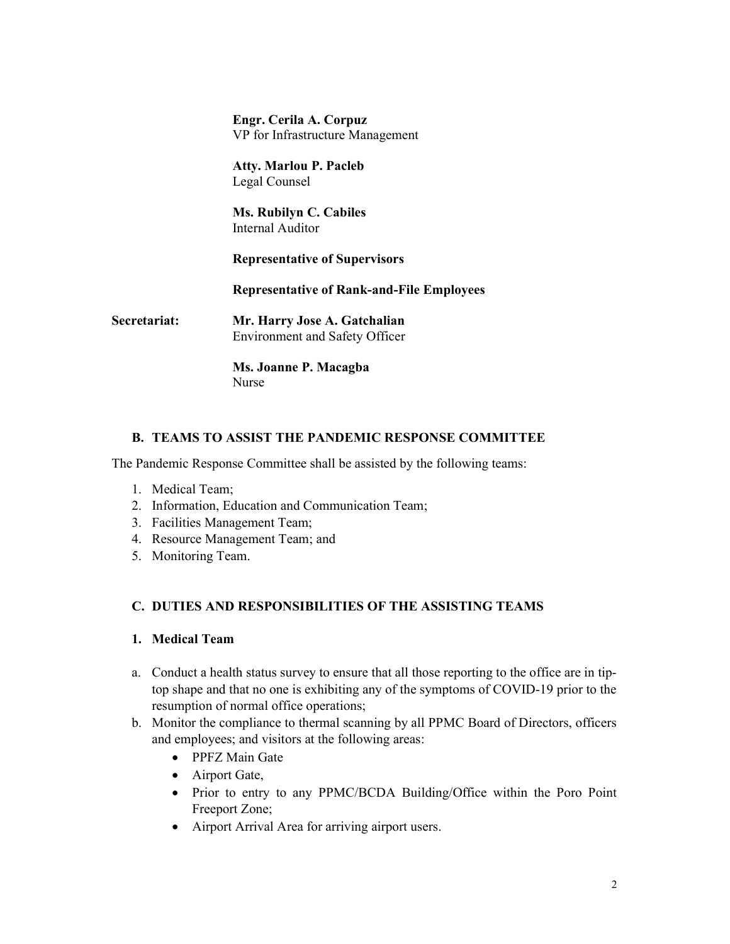Engr. Cerila A. Corpuz VP for Infrastructure Management

 Atty. Marlou P. Pacleb Legal Counsel

 Ms. Rubilyn C. Cabiles Internal Auditor

Representative of Supervisors

Representative of Rank-and-File Employees

Secretariat: Mr. Harry Jose A. Gatchalian Environment and Safety Officer

> Ms. Joanne P. Macagba Nurse

### B. TEAMS TO ASSIST THE PANDEMIC RESPONSE COMMITTEE

The Pandemic Response Committee shall be assisted by the following teams:

- 1. Medical Team;
- 2. Information, Education and Communication Team;
- 3. Facilities Management Team;
- 4. Resource Management Team; and
- 5. Monitoring Team.

### C. DUTIES AND RESPONSIBILITIES OF THE ASSISTING TEAMS

### 1. Medical Team

- a. Conduct a health status survey to ensure that all those reporting to the office are in tiptop shape and that no one is exhibiting any of the symptoms of COVID-19 prior to the resumption of normal office operations;
- b. Monitor the compliance to thermal scanning by all PPMC Board of Directors, officers and employees; and visitors at the following areas:
	- PPFZ Main Gate
	- Airport Gate,
	- Prior to entry to any PPMC/BCDA Building/Office within the Poro Point Freeport Zone;
	- Airport Arrival Area for arriving airport users.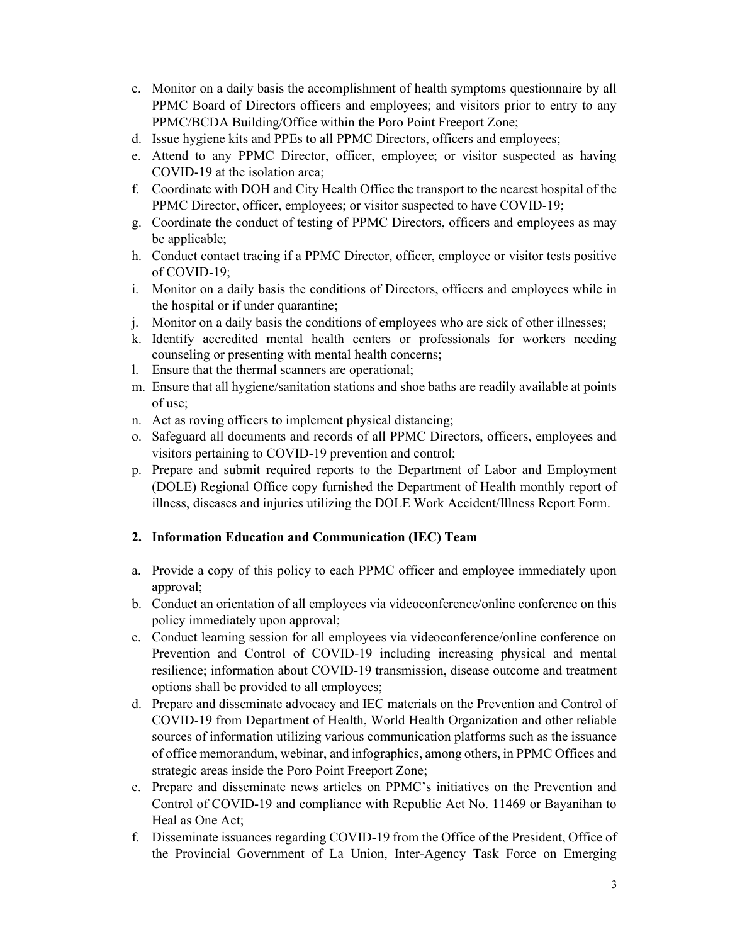- c. Monitor on a daily basis the accomplishment of health symptoms questionnaire by all PPMC Board of Directors officers and employees; and visitors prior to entry to any PPMC/BCDA Building/Office within the Poro Point Freeport Zone;
- d. Issue hygiene kits and PPEs to all PPMC Directors, officers and employees;
- e. Attend to any PPMC Director, officer, employee; or visitor suspected as having COVID-19 at the isolation area;
- f. Coordinate with DOH and City Health Office the transport to the nearest hospital of the PPMC Director, officer, employees; or visitor suspected to have COVID-19;
- g. Coordinate the conduct of testing of PPMC Directors, officers and employees as may be applicable;
- h. Conduct contact tracing if a PPMC Director, officer, employee or visitor tests positive of COVID-19;
- i. Monitor on a daily basis the conditions of Directors, officers and employees while in the hospital or if under quarantine;
- j. Monitor on a daily basis the conditions of employees who are sick of other illnesses;
- k. Identify accredited mental health centers or professionals for workers needing counseling or presenting with mental health concerns;
- l. Ensure that the thermal scanners are operational;
- m. Ensure that all hygiene/sanitation stations and shoe baths are readily available at points of use;
- n. Act as roving officers to implement physical distancing;
- o. Safeguard all documents and records of all PPMC Directors, officers, employees and visitors pertaining to COVID-19 prevention and control;
- p. Prepare and submit required reports to the Department of Labor and Employment (DOLE) Regional Office copy furnished the Department of Health monthly report of illness, diseases and injuries utilizing the DOLE Work Accident/Illness Report Form.

# 2. Information Education and Communication (IEC) Team

- a. Provide a copy of this policy to each PPMC officer and employee immediately upon approval;
- b. Conduct an orientation of all employees via videoconference/online conference on this policy immediately upon approval;
- c. Conduct learning session for all employees via videoconference/online conference on Prevention and Control of COVID-19 including increasing physical and mental resilience; information about COVID-19 transmission, disease outcome and treatment options shall be provided to all employees;
- d. Prepare and disseminate advocacy and IEC materials on the Prevention and Control of COVID-19 from Department of Health, World Health Organization and other reliable sources of information utilizing various communication platforms such as the issuance of office memorandum, webinar, and infographics, among others, in PPMC Offices and strategic areas inside the Poro Point Freeport Zone;
- e. Prepare and disseminate news articles on PPMC's initiatives on the Prevention and Control of COVID-19 and compliance with Republic Act No. 11469 or Bayanihan to Heal as One Act;
- f. Disseminate issuances regarding COVID-19 from the Office of the President, Office of the Provincial Government of La Union, Inter-Agency Task Force on Emerging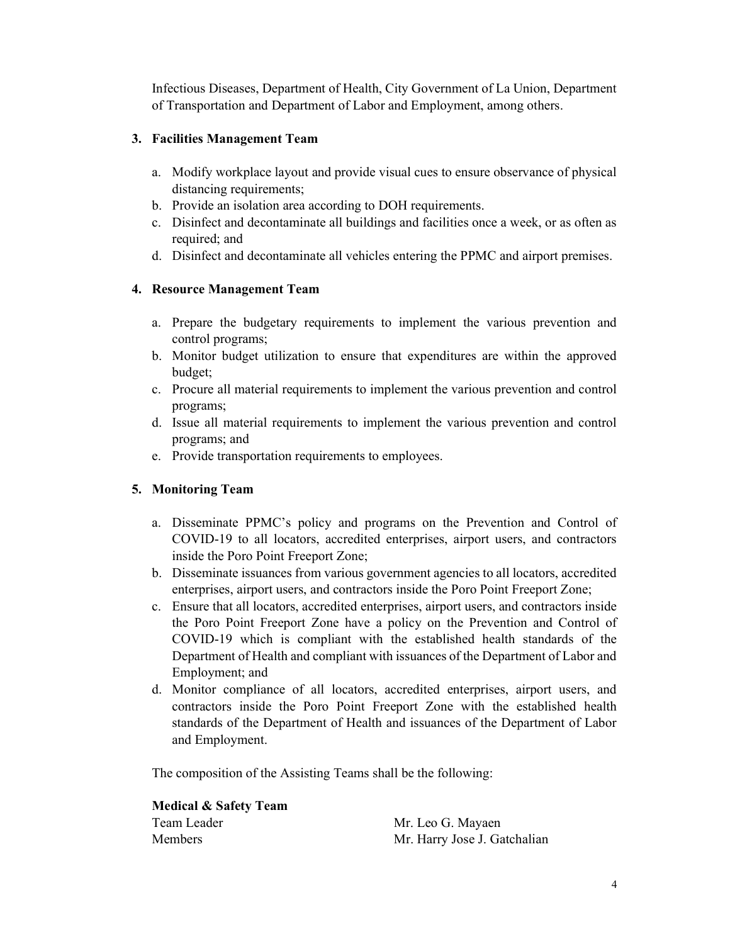Infectious Diseases, Department of Health, City Government of La Union, Department of Transportation and Department of Labor and Employment, among others.

## 3. Facilities Management Team

- a. Modify workplace layout and provide visual cues to ensure observance of physical distancing requirements;
- b. Provide an isolation area according to DOH requirements.
- c. Disinfect and decontaminate all buildings and facilities once a week, or as often as required; and
- d. Disinfect and decontaminate all vehicles entering the PPMC and airport premises.

## 4. Resource Management Team

- a. Prepare the budgetary requirements to implement the various prevention and control programs;
- b. Monitor budget utilization to ensure that expenditures are within the approved budget;
- c. Procure all material requirements to implement the various prevention and control programs;
- d. Issue all material requirements to implement the various prevention and control programs; and
- e. Provide transportation requirements to employees.

# 5. Monitoring Team

- a. Disseminate PPMC's policy and programs on the Prevention and Control of COVID-19 to all locators, accredited enterprises, airport users, and contractors inside the Poro Point Freeport Zone;
- b. Disseminate issuances from various government agencies to all locators, accredited enterprises, airport users, and contractors inside the Poro Point Freeport Zone;
- c. Ensure that all locators, accredited enterprises, airport users, and contractors inside the Poro Point Freeport Zone have a policy on the Prevention and Control of COVID-19 which is compliant with the established health standards of the Department of Health and compliant with issuances of the Department of Labor and Employment; and
- d. Monitor compliance of all locators, accredited enterprises, airport users, and contractors inside the Poro Point Freeport Zone with the established health standards of the Department of Health and issuances of the Department of Labor and Employment.

The composition of the Assisting Teams shall be the following:

Medical & Safety Team Team Leader Mr. Leo G. Mayaen

Mr. Harry Jose J. Gatchalian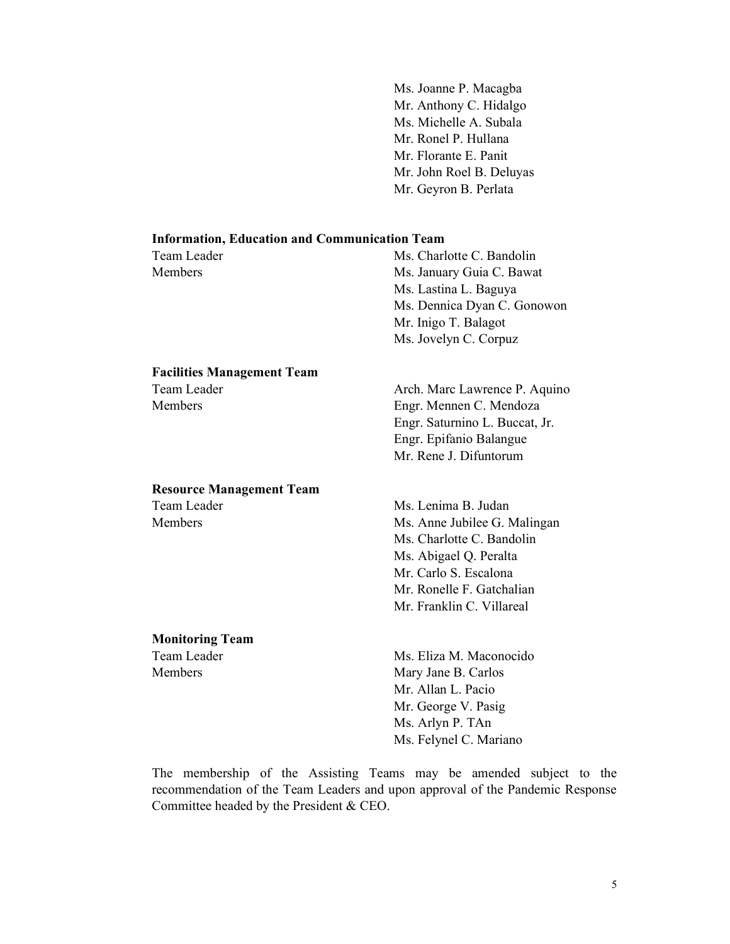Ms. Joanne P. Macagba Mr. Anthony C. Hidalgo Ms. Michelle A. Subala Mr. Ronel P. Hullana Mr. Florante E. Panit Mr. John Roel B. Deluyas Mr. Geyron B. Perlata

#### Information, Education and Communication Team

| Team Leader    | Ms. Charlotte C. Bandolin |
|----------------|---------------------------|
| <b>Members</b> | Ms. January Guia C. Bawat |
|                | Ms. Lastina L. Baguya     |

 Ms. Dennica Dyan C. Gonowon Mr. Inigo T. Balagot Ms. Jovelyn C. Corpuz

# Facilities Management Team Team Leader **Arch.** Marc Lawrence P. Aquino

# Resource Management Team

Members Engr. Mennen C. Mendoza Engr. Saturnino L. Buccat, Jr. Engr. Epifanio Balangue Mr. Rene J. Difuntorum

Team Leader Ms. Lenima B. Judan Members Ms. Anne Jubilee G. Malingan Ms. Charlotte C. Bandolin Ms. Abigael Q. Peralta Mr. Carlo S. Escalona Mr. Ronelle F. Gatchalian Mr. Franklin C. Villareal

Monitoring Team

Team Leader Ms. Eliza M. Maconocido Members Mary Jane B. Carlos Mr. Allan L. Pacio Mr. George V. Pasig Ms. Arlyn P. TAn Ms. Felynel C. Mariano

The membership of the Assisting Teams may be amended subject to the recommendation of the Team Leaders and upon approval of the Pandemic Response Committee headed by the President & CEO.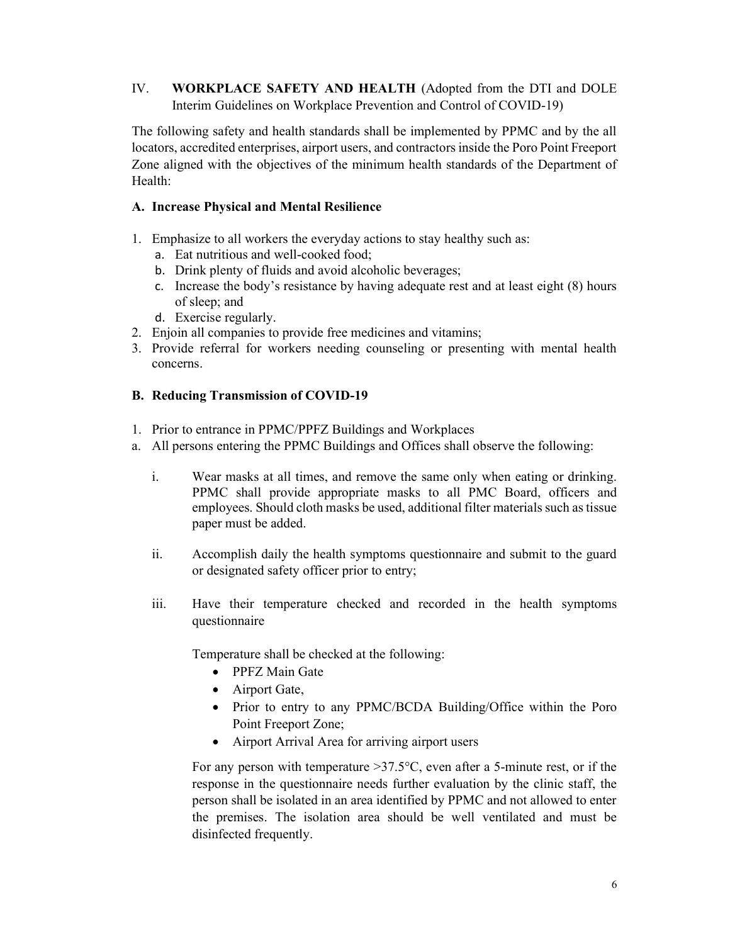IV. WORKPLACE SAFETY AND HEALTH (Adopted from the DTI and DOLE Interim Guidelines on Workplace Prevention and Control of COVID-19)

The following safety and health standards shall be implemented by PPMC and by the all locators, accredited enterprises, airport users, and contractors inside the Poro Point Freeport Zone aligned with the objectives of the minimum health standards of the Department of Health:

### A. Increase Physical and Mental Resilience

- 1. Emphasize to all workers the everyday actions to stay healthy such as:
	- a. Eat nutritious and well-cooked food;
	- b. Drink plenty of fluids and avoid alcoholic beverages;
	- c. Increase the body's resistance by having adequate rest and at least eight (8) hours of sleep; and
	- d. Exercise regularly.
- 2. Enjoin all companies to provide free medicines and vitamins;
- 3. Provide referral for workers needing counseling or presenting with mental health concerns.

## B. Reducing Transmission of COVID-19

- 1. Prior to entrance in PPMC/PPFZ Buildings and Workplaces
- a. All persons entering the PPMC Buildings and Offices shall observe the following:
	- i. Wear masks at all times, and remove the same only when eating or drinking. PPMC shall provide appropriate masks to all PMC Board, officers and employees. Should cloth masks be used, additional filter materials such as tissue paper must be added.
	- ii. Accomplish daily the health symptoms questionnaire and submit to the guard or designated safety officer prior to entry;
	- iii. Have their temperature checked and recorded in the health symptoms questionnaire

Temperature shall be checked at the following:

- PPFZ Main Gate
- Airport Gate,
- Prior to entry to any PPMC/BCDA Building/Office within the Poro Point Freeport Zone;
- Airport Arrival Area for arriving airport users

For any person with temperature  $>37.5$ °C, even after a 5-minute rest, or if the response in the questionnaire needs further evaluation by the clinic staff, the person shall be isolated in an area identified by PPMC and not allowed to enter the premises. The isolation area should be well ventilated and must be disinfected frequently.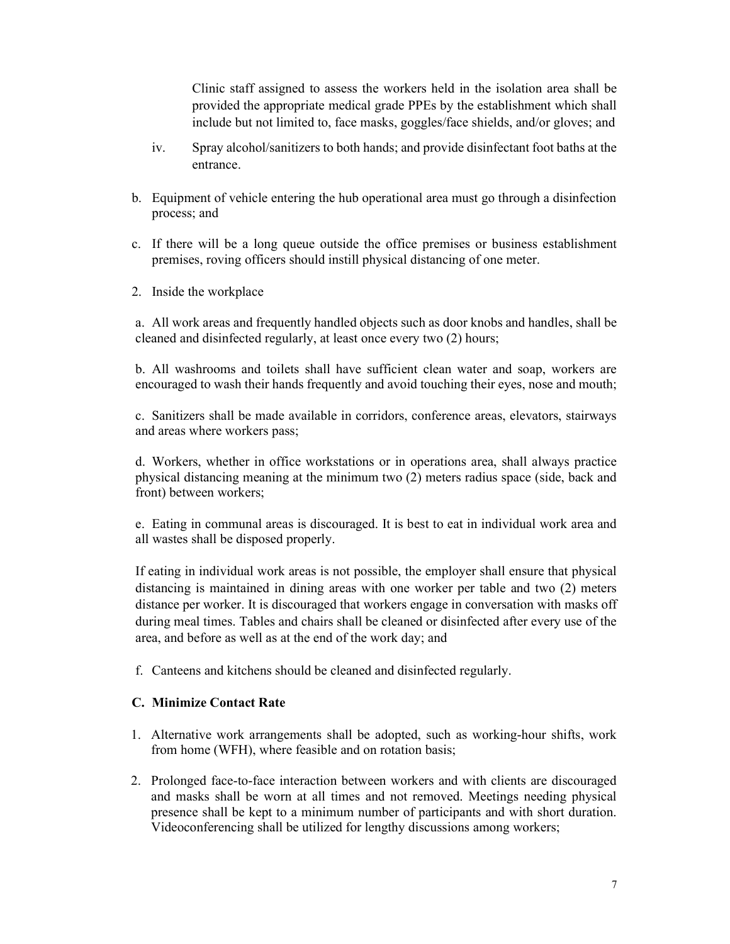Clinic staff assigned to assess the workers held in the isolation area shall be provided the appropriate medical grade PPEs by the establishment which shall include but not limited to, face masks, goggles/face shields, and/or gloves; and

- iv. Spray alcohol/sanitizers to both hands; and provide disinfectant foot baths at the entrance.
- b. Equipment of vehicle entering the hub operational area must go through a disinfection process; and
- c. If there will be a long queue outside the office premises or business establishment premises, roving officers should instill physical distancing of one meter.
- 2. Inside the workplace

a. All work areas and frequently handled objects such as door knobs and handles, shall be cleaned and disinfected regularly, at least once every two (2) hours;

b. All washrooms and toilets shall have sufficient clean water and soap, workers are encouraged to wash their hands frequently and avoid touching their eyes, nose and mouth;

c. Sanitizers shall be made available in corridors, conference areas, elevators, stairways and areas where workers pass;

d. Workers, whether in office workstations or in operations area, shall always practice physical distancing meaning at the minimum two (2) meters radius space (side, back and front) between workers;

e. Eating in communal areas is discouraged. It is best to eat in individual work area and all wastes shall be disposed properly.

If eating in individual work areas is not possible, the employer shall ensure that physical distancing is maintained in dining areas with one worker per table and two (2) meters distance per worker. It is discouraged that workers engage in conversation with masks off during meal times. Tables and chairs shall be cleaned or disinfected after every use of the area, and before as well as at the end of the work day; and

f. Canteens and kitchens should be cleaned and disinfected regularly.

### C. Minimize Contact Rate

- 1. Alternative work arrangements shall be adopted, such as working-hour shifts, work from home (WFH), where feasible and on rotation basis;
- 2. Prolonged face-to-face interaction between workers and with clients are discouraged and masks shall be worn at all times and not removed. Meetings needing physical presence shall be kept to a minimum number of participants and with short duration. Videoconferencing shall be utilized for lengthy discussions among workers;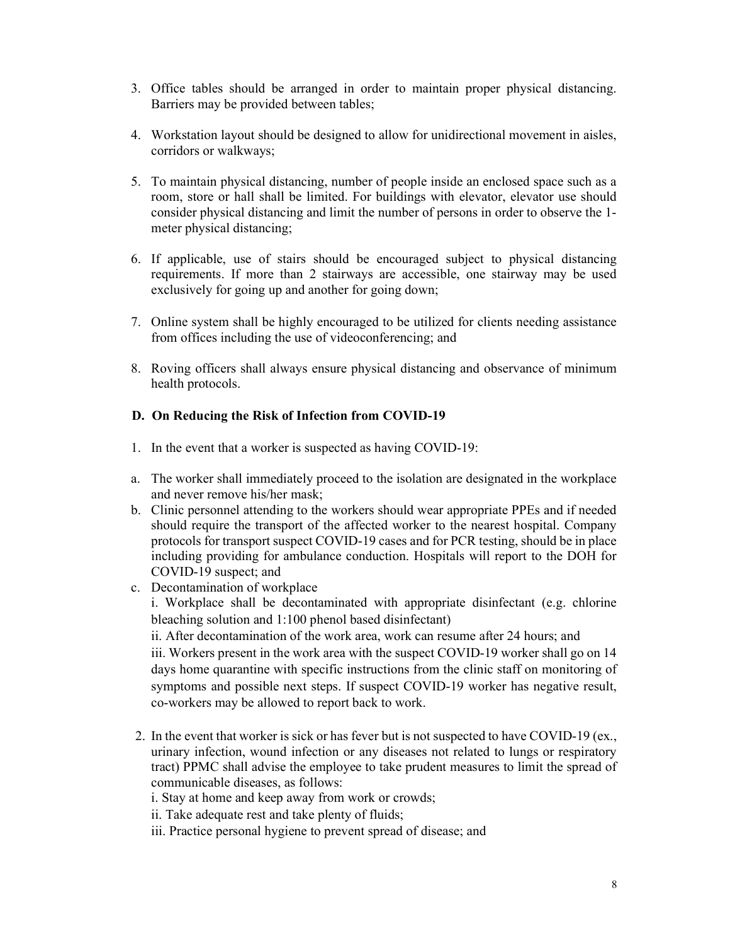- 3. Office tables should be arranged in order to maintain proper physical distancing. Barriers may be provided between tables;
- 4. Workstation layout should be designed to allow for unidirectional movement in aisles, corridors or walkways;
- 5. To maintain physical distancing, number of people inside an enclosed space such as a room, store or hall shall be limited. For buildings with elevator, elevator use should consider physical distancing and limit the number of persons in order to observe the 1 meter physical distancing;
- 6. If applicable, use of stairs should be encouraged subject to physical distancing requirements. If more than 2 stairways are accessible, one stairway may be used exclusively for going up and another for going down;
- 7. Online system shall be highly encouraged to be utilized for clients needing assistance from offices including the use of videoconferencing; and
- 8. Roving officers shall always ensure physical distancing and observance of minimum health protocols.

### D. On Reducing the Risk of Infection from COVID-19

- 1. In the event that a worker is suspected as having COVID-19:
- a. The worker shall immediately proceed to the isolation are designated in the workplace and never remove his/her mask;
- b. Clinic personnel attending to the workers should wear appropriate PPEs and if needed should require the transport of the affected worker to the nearest hospital. Company protocols for transport suspect COVID-19 cases and for PCR testing, should be in place including providing for ambulance conduction. Hospitals will report to the DOH for COVID-19 suspect; and
- c. Decontamination of workplace

i. Workplace shall be decontaminated with appropriate disinfectant (e.g. chlorine bleaching solution and 1:100 phenol based disinfectant)

ii. After decontamination of the work area, work can resume after 24 hours; and

iii. Workers present in the work area with the suspect COVID-19 worker shall go on 14 days home quarantine with specific instructions from the clinic staff on monitoring of symptoms and possible next steps. If suspect COVID-19 worker has negative result, co-workers may be allowed to report back to work.

2. In the event that worker is sick or has fever but is not suspected to have COVID-19 (ex., urinary infection, wound infection or any diseases not related to lungs or respiratory tract) PPMC shall advise the employee to take prudent measures to limit the spread of communicable diseases, as follows:

i. Stay at home and keep away from work or crowds;

- ii. Take adequate rest and take plenty of fluids;
- iii. Practice personal hygiene to prevent spread of disease; and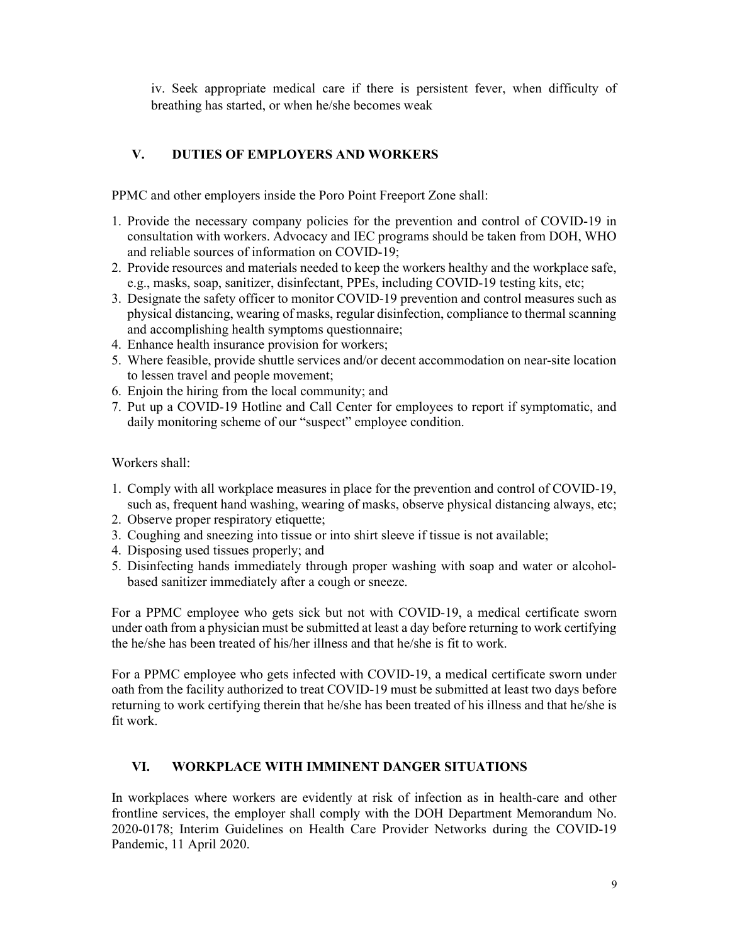iv. Seek appropriate medical care if there is persistent fever, when difficulty of breathing has started, or when he/she becomes weak

# V. DUTIES OF EMPLOYERS AND WORKERS

PPMC and other employers inside the Poro Point Freeport Zone shall:

- 1. Provide the necessary company policies for the prevention and control of COVID-19 in consultation with workers. Advocacy and IEC programs should be taken from DOH, WHO and reliable sources of information on COVID-19;
- 2. Provide resources and materials needed to keep the workers healthy and the workplace safe, e.g., masks, soap, sanitizer, disinfectant, PPEs, including COVID-19 testing kits, etc;
- 3. Designate the safety officer to monitor COVID-19 prevention and control measures such as physical distancing, wearing of masks, regular disinfection, compliance to thermal scanning and accomplishing health symptoms questionnaire;
- 4. Enhance health insurance provision for workers;
- 5. Where feasible, provide shuttle services and/or decent accommodation on near-site location to lessen travel and people movement;
- 6. Enjoin the hiring from the local community; and
- 7. Put up a COVID-19 Hotline and Call Center for employees to report if symptomatic, and daily monitoring scheme of our "suspect" employee condition.

Workers shall:

- 1. Comply with all workplace measures in place for the prevention and control of COVID-19, such as, frequent hand washing, wearing of masks, observe physical distancing always, etc;
- 2. Observe proper respiratory etiquette;
- 3. Coughing and sneezing into tissue or into shirt sleeve if tissue is not available;
- 4. Disposing used tissues properly; and
- 5. Disinfecting hands immediately through proper washing with soap and water or alcoholbased sanitizer immediately after a cough or sneeze.

For a PPMC employee who gets sick but not with COVID-19, a medical certificate sworn under oath from a physician must be submitted at least a day before returning to work certifying the he/she has been treated of his/her illness and that he/she is fit to work.

For a PPMC employee who gets infected with COVID-19, a medical certificate sworn under oath from the facility authorized to treat COVID-19 must be submitted at least two days before returning to work certifying therein that he/she has been treated of his illness and that he/she is fit work.

### VI. WORKPLACE WITH IMMINENT DANGER SITUATIONS

In workplaces where workers are evidently at risk of infection as in health-care and other frontline services, the employer shall comply with the DOH Department Memorandum No. 2020-0178; Interim Guidelines on Health Care Provider Networks during the COVID-19 Pandemic, 11 April 2020.